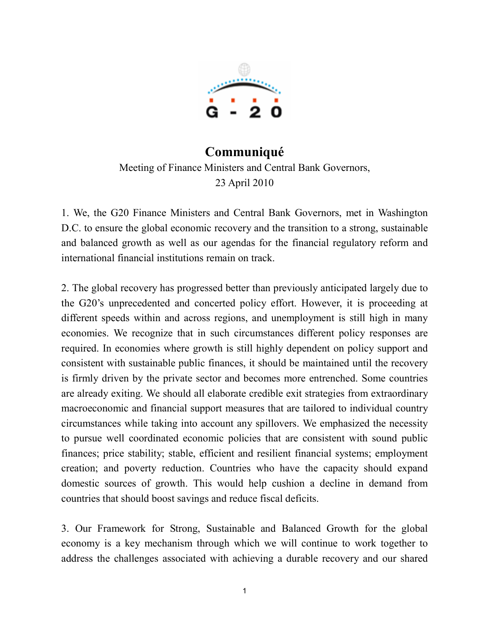

## Communiqué

Meeting of Finance Ministers and Central Bank Governors, 23 April 2010

1. We, the G20 Finance Ministers and Central Bank Governors, met in Washington D.C. to ensure the global economic recovery and the transition to a strong, sustainable and balanced growth as well as our agendas for the financial regulatory reform and international financial institutions remain on track.

2. The global recovery has progressed better than previously anticipated largely due to the G20's unprecedented and concerted policy effort. However, it is proceeding at different speeds within and across regions, and unemployment is still high in many economies. We recognize that in such circumstances different policy responses are required. In economies where growth is still highly dependent on policy support and consistent with sustainable public finances, it should be maintained until the recovery is firmly driven by the private sector and becomes more entrenched. Some countries are already exiting. We should all elaborate credible exit strategies from extraordinary macroeconomic and financial support measures that are tailored to individual country circumstances while taking into account any spillovers. We emphasized the necessity to pursue well coordinated economic policies that are consistent with sound public finances; price stability; stable, efficient and resilient financial systems; employment creation; and poverty reduction. Countries who have the capacity should expand domestic sources of growth. This would help cushion a decline in demand from countries that should boost savings and reduce fiscal deficits.

3. Our Framework for Strong, Sustainable and Balanced Growth for the global economy is a key mechanism through which we will continue to work together to address the challenges associated with achieving a durable recovery and our shared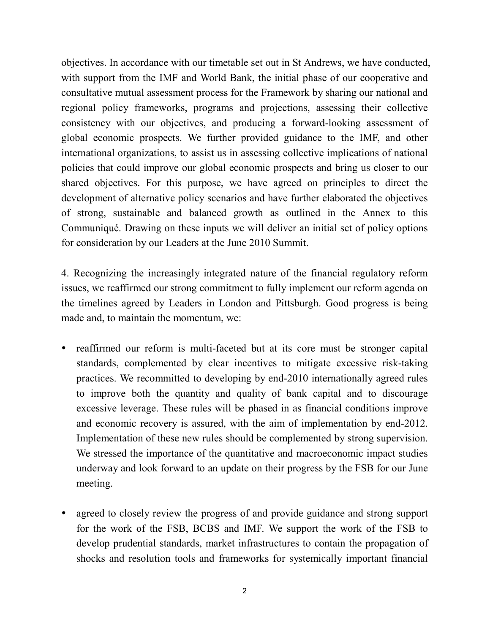objectives. In accordance with our timetable set out in St Andrews, we have conducted, with support from the IMF and World Bank, the initial phase of our cooperative and consultative mutual assessment process for the Framework by sharing our national and regional policy frameworks, programs and projections, assessing their collective consistency with our objectives, and producing a forward-looking assessment of global economic prospects. We further provided guidance to the IMF, and other international organizations, to assist us in assessing collective implications of national policies that could improve our global economic prospects and bring us closer to our shared objectives. For this purpose, we have agreed on principles to direct the development of alternative policy scenarios and have further elaborated the objectives of strong, sustainable and balanced growth as outlined in the Annex to this Communiqué. Drawing on these inputs we will deliver an initial set of policy options for consideration by our Leaders at the June 2010 Summit.

4. Recognizing the increasingly integrated nature of the financial regulatory reform issues, we reaffirmed our strong commitment to fully implement our reform agenda on the timelines agreed by Leaders in London and Pittsburgh. Good progress is being made and, to maintain the momentum, we:

- reaffirmed our reform is multi-faceted but at its core must be stronger capital standards, complemented by clear incentives to mitigate excessive risk-taking practices. We recommitted to developing by end-2010 internationally agreed rules to improve both the quantity and quality of bank capital and to discourage excessive leverage. These rules will be phased in as financial conditions improve and economic recovery is assured, with the aim of implementation by end-2012. Implementation of these new rules should be complemented by strong supervision. We stressed the importance of the quantitative and macroeconomic impact studies underway and look forward to an update on their progress by the FSB for our June meeting.
- agreed to closely review the progress of and provide guidance and strong support for the work of the FSB, BCBS and IMF. We support the work of the FSB to develop prudential standards, market infrastructures to contain the propagation of shocks and resolution tools and frameworks for systemically important financial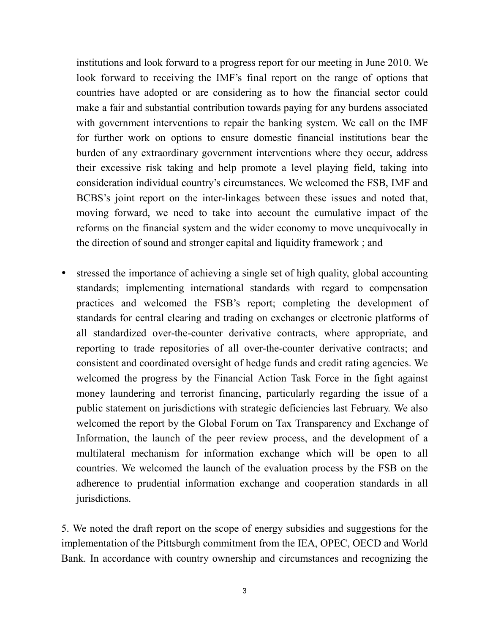institutions and look forward to a progress report for our meeting in June 2010. We look forward to receiving the IMF's final report on the range of options that countries have adopted or are considering as to how the financial sector could make a fair and substantial contribution towards paying for any burdens associated with government interventions to repair the banking system. We call on the IMF for further work on options to ensure domestic financial institutions bear the burden of any extraordinary government interventions where they occur, address their excessive risk taking and help promote a level playing field, taking into consideration individual country's circumstances. We welcomed the FSB, IMF and BCBS's joint report on the inter-linkages between these issues and noted that, moving forward, we need to take into account the cumulative impact of the reforms on the financial system and the wider economy to move unequivocally in the direction of sound and stronger capital and liquidity framework ; and

 stressed the importance of achieving a single set of high quality, global accounting standards; implementing international standards with regard to compensation practices and welcomed the FSB's report; completing the development of standards for central clearing and trading on exchanges or electronic platforms of all standardized over-the-counter derivative contracts, where appropriate, and reporting to trade repositories of all over-the-counter derivative contracts; and consistent and coordinated oversight of hedge funds and credit rating agencies. We welcomed the progress by the Financial Action Task Force in the fight against money laundering and terrorist financing, particularly regarding the issue of a public statement on jurisdictions with strategic deficiencies last February. We also welcomed the report by the Global Forum on Tax Transparency and Exchange of Information, the launch of the peer review process, and the development of a multilateral mechanism for information exchange which will be open to all countries. We welcomed the launch of the evaluation process by the FSB on the adherence to prudential information exchange and cooperation standards in all jurisdictions.

5. We noted the draft report on the scope of energy subsidies and suggestions for the implementation of the Pittsburgh commitment from the IEA, OPEC, OECD and World Bank. In accordance with country ownership and circumstances and recognizing the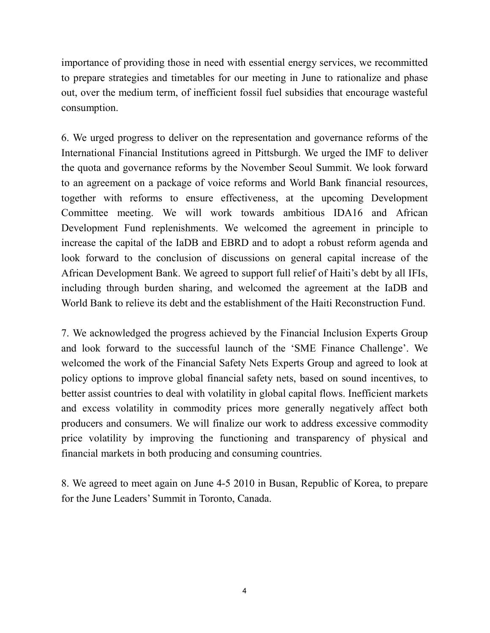importance of providing those in need with essential energy services, we recommitted to prepare strategies and timetables for our meeting in June to rationalize and phase out, over the medium term, of inefficient fossil fuel subsidies that encourage wasteful consumption.

6. We urged progress to deliver on the representation and governance reforms of the International Financial Institutions agreed in Pittsburgh. We urged the IMF to deliver the quota and governance reforms by the November Seoul Summit. We look forward to an agreement on a package of voice reforms and World Bank financial resources, together with reforms to ensure effectiveness, at the upcoming Development Committee meeting. We will work towards ambitious IDA16 and African Development Fund replenishments. We welcomed the agreement in principle to increase the capital of the IaDB and EBRD and to adopt a robust reform agenda and look forward to the conclusion of discussions on general capital increase of the African Development Bank. We agreed to support full relief of Haiti's debt by all IFIs, including through burden sharing, and welcomed the agreement at the IaDB and World Bank to relieve its debt and the establishment of the Haiti Reconstruction Fund.

7. We acknowledged the progress achieved by the Financial Inclusion Experts Group and look forward to the successful launch of the 'SME Finance Challenge'. We welcomed the work of the Financial Safety Nets Experts Group and agreed to look at policy options to improve global financial safety nets, based on sound incentives, to better assist countries to deal with volatility in global capital flows. Inefficient markets and excess volatility in commodity prices more generally negatively affect both producers and consumers. We will finalize our work to address excessive commodity price volatility by improving the functioning and transparency of physical and financial markets in both producing and consuming countries.

8. We agreed to meet again on June 4-5 2010 in Busan, Republic of Korea, to prepare for the June Leaders' Summit in Toronto, Canada.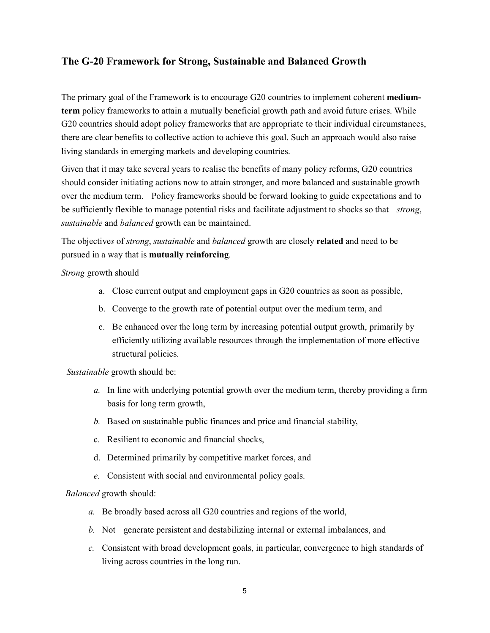## The G-20 Framework for Strong, Sustainable and Balanced Growth

The primary goal of the Framework is to encourage G20 countries to implement coherent mediumterm policy frameworks to attain a mutually beneficial growth path and avoid future crises. While G20 countries should adopt policy frameworks that are appropriate to their individual circumstances, there are clear benefits to collective action to achieve this goal. Such an approach would also raise living standards in emerging markets and developing countries.

Given that it may take several years to realise the benefits of many policy reforms, G20 countries should consider initiating actions now to attain stronger, and more balanced and sustainable growth over the medium term. Policy frameworks should be forward looking to guide expectations and to be sufficiently flexible to manage potential risks and facilitate adjustment to shocks so that strong, sustainable and balanced growth can be maintained.

The objectives of strong, sustainable and balanced growth are closely related and need to be pursued in a way that is mutually reinforcing.

Strong growth should

- a. Close current output and employment gaps in G20 countries as soon as possible,
- b. Converge to the growth rate of potential output over the medium term, and
- c. Be enhanced over the long term by increasing potential output growth, primarily by efficiently utilizing available resources through the implementation of more effective structural policies.

Sustainable growth should be:

- a. In line with underlying potential growth over the medium term, thereby providing a firm basis for long term growth,
- b. Based on sustainable public finances and price and financial stability,
- c. Resilient to economic and financial shocks,
- d. Determined primarily by competitive market forces, and
- e. Consistent with social and environmental policy goals.

Balanced growth should:

- a. Be broadly based across all G20 countries and regions of the world,
- b. Not generate persistent and destabilizing internal or external imbalances, and
- c. Consistent with broad development goals, in particular, convergence to high standards of living across countries in the long run.